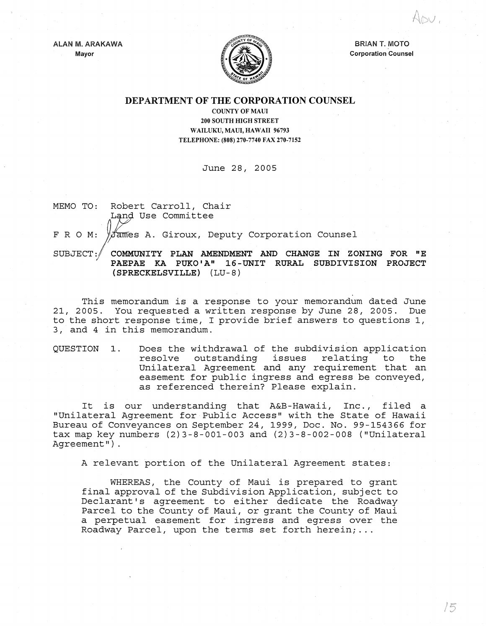ALAN M. ARAKAWA Mayor



BRIAN T. MOTO Corporation Counsel

 $/5$ 

## DEPARTMENT OF THE CORPORATION COUNSEL

COUNTY OF MAUl 200 SOUTH HIGH STREET WAILUKU, MAUI, HAWAII 96793 TELEPHONE: (808) 270-7740 FAX 270-7152

June 28, 2005

MEMO TO: Robert Carroll, Chair Land Use Committee

F R O M: Vames A. Giroux, Deputy Corporation Counsel

SUBJECT:/ COMMUNITY PLAN AMENDMENT AND CHANGE IN ZONING FOR "E PAEPAE KA PUKO'A" 16-UNIT RURAL SUBDIVISION PROJECT (SPRECKELSVILLE) (LU-8)

This memorandum is a response to your memorandum dated June 21, 2005. You requested a written response by June 28, 2005. Due to the short response time, I provide brief answers to questions 1, 3, and 4 in this memorandum.

QUESTION 1. Does the withdrawal of the subdivision application resolve outstanding issues relating to the Unilateral Agreement and any requirement that an easement for public ingress and egress be conveyed, as referenced therein? Please explain.

It is our understanding that A&B-Hawaii, Inc., filed a "Unilateral Agreement for Public Access" with the State of Hawaii Bureau of Conveyances on September 24, 1999, Doc. No. 99-154366 for tax map key numbers  $(2)3-8-001-003$  and  $(2)3-8-002-008$  ("Unilateral Agreement").

A relevant portion of the Unilateral Agreement states:

WHEREAS, the County of Maui is prepared to grant final approval of the Subdivision Application, subject to Declarant's agreement to either dedicate the Roadway Parcel to the County of Maui, or grant the County of Maui a perpetual easement for ingress and egress over the Roadway Parcel, upon the terms set forth herein; ...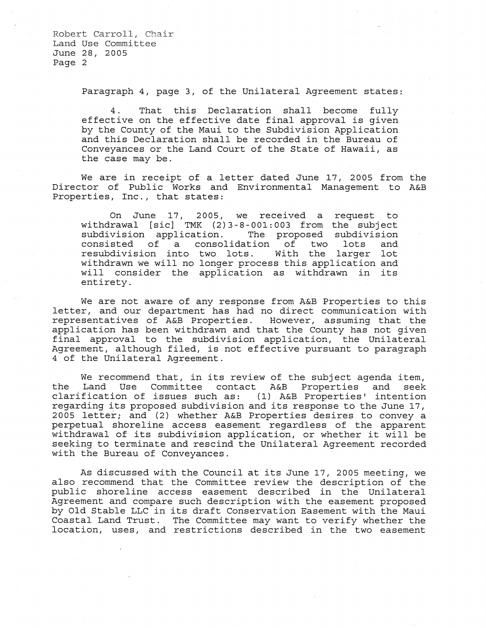Paragraph 4, page 3, of the Unilateral Agreement states:

4. That this Declaration shall become fully effective on the effective date final approval is given by the County of the Maui to the Subdivision Application and this Declaration shall be recorded in the Bureau of Conveyances or the Land Court of the State of Hawaii, as the case may be.

We are in receipt of a letter dated June 17, 2005 from the Director of Public Works and Environmental Management to A&B Properties, Inc., that states:

On June 17, 2005, we received a request to withdrawal [sic] TMK (2) 3-8-001: 003 from the subject subdivision application. The proposed subdivision consisted of a consolidation of two lots and resubdivision into two lots. With the larger lot withdrawn we will no longer process this application and will consider the application as withdrawn in its entirety.

We are not aware of any response from A&B Properties to this letter, and our department has had no direct communication with representatives of A&B Properties. However, assuming that the application has been withdrawn and that the County has not given final approval to the subdivision application, the Unilateral Agreement, although filed, is not effective pursuant to paragraph 4 of the Unilateral Agreement.

We recommend that, in its review of the subject agenda item,<br>Land Use Committee contact A&B Properties and seek the Land Use Committee contact A&B clarification of issues such as: (1) A&B Properties' intention regarding its proposed subdivision and its response to the June 17, 2005 letter; and (2) whether A&B Properties desires to convey a perpetual shoreline access easement regardless of the apparent withdrawal of its subdivision application, or whether it will be seeking to terminate and rescind the Unilateral Agreement recorded with the Bureau of Conveyances.

As discussed with the Council at its June 17, 2005 meeting, we also recommend that the Committee review the description of the public shoreline access easement described in the Unilateral Agreement and compare such description with the easement proposed by Old Stable LLC in its draft Conservation Easement with the Maui Coastal Land Trust. The Committee may want to verify whether the location, uses, and restrictions described in the two easement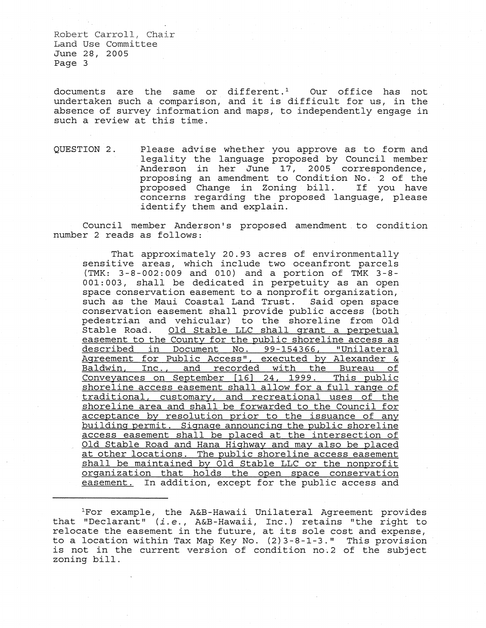documents are the same or different. $^1$   $\,$  Our office has not undertaken such a comparison, and it is difficult for us, in the absence of survey information and maps, to independently engage in such a review at this time.

QUESTION 2. Please advise whether you approve as to form and legality the language proposed by Council member Anderson in her June 17, 2005 correspondence, proposing an amendment to Condition No. 2 of the proposed Change in Zoning bill. concerns regarding the proposed language, please identify them and explain.

Council member Anderson's proposed amendment to condition number 2 reads as follows:

That approximately 20.93 acres of environmentally sensitive areas, which include two oceanfront parcels (TMK: 3-8-002: 009 and 010) and a portion of TMK 3-8- 001: 003, shall be dedicated in perpetuity as an open space conservation easement to a nonprofit organization, such as the Maui Coastal Land Trust. Said open space conservation easement shall provide public access (both pedestrian and vehicular) to the shoreline from Old Old Stable LLC shall grant a perpetual easement to the County for the public shoreline access as described in Document No. 99-154366, "Unilateral Agreement for Public Access", executed by Alexander & Baldwin, Inc., and recorded with the Bureau of Conveyances on September [16] 24, 1999. This public shoreline access easement shall allow for a full range of traditional, customary, and recreational uses of the shoreline area and shall be forwarded to the Council for acceptance by resolution prior to the issuance of any building permit. Signage announcing the public shoreline access easement shall be placed at the intersection of Old Stable Road and Hana Highway and may also be placed at other locations. The public shoreline access easement shall be maintained by Old Stable LLC or the nonprofit organization that holds the open space conservation easement. In addition, except for the public access and

lFor example, the A&B-Hawaii Unilateral Agreement provides that "Declarant" *(i.e., A&B-Hawaii, Inc.)* retains "the right to relocate the easement in the future, at its sole cost and expense, to a location within Tax Map Key No. (2)3-8-1-3." This provision is not in the current version of condition no.2 of the subject zoning bill.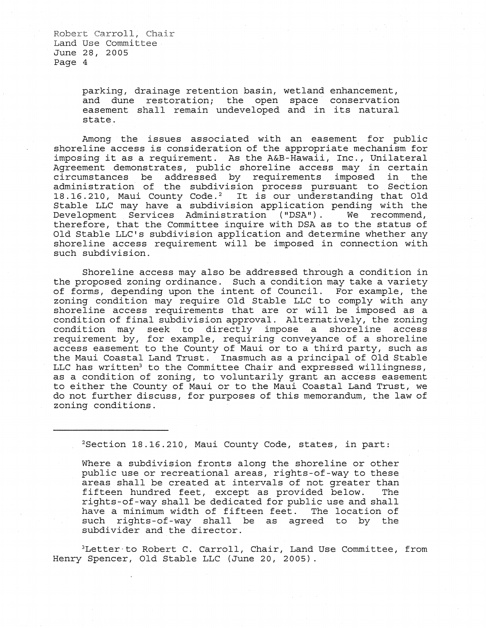> parking, drainage retention basin, wetland enhancement, and dune restoration; the open space conservation easement shall remain undeveloped and in its natural state.

Among the issues associated with an easement for public shoreline access is consideration of the appropriate mechanism for imposing it as a requirement. As the A&B-Hawaii, Inc., Unilateral Agreement demonstrates, public shoreline access may in certain<br>circumstances be addressed by requirements imposed in the circumstances be addressed by requirements imposed in administration of the subdivision process pursuant to Section administration of the subdivision process parsuant to bection<br>18.16.210, Maui County Code.<sup>2</sup> It is our understanding that Old Stable LLC may have a subdivision application pending with the Development Services Administration ("DSA"). We recommend, therefore, that the Committee inquire with DSA as to the status of Old Stable LLC's subdivision application and determine whether any shoreline access requirement will be imposed in connection with such subdivision.

Shoreline access may also be addressed through a condition in the proposed zoning ordinance. Such a condition may take a variety of forms, depending upon the intent of Council. For example, the zoning condition may require Old Stable LLC to comply with any shoreline access requirements that are or will be imposed as a condition of final subdivision approval. Alternatively, the zoning condition may seek to directly impose a shoreline access requirement by, for example, requiring conveyance of a shoreline access easement to the County of Maui or to a third party, such as the Maui Coastal Land Trust. Inasmuch as a principal of Old Stable LLC has written<sup>3</sup> to the Committee Chair and expressed willingness, as a condition of zoning, to voluntarily grant an access easement to either the County of Maui or to the Maui Coastal Land Trust, we do not further discuss, for purposes of this memorandum, the law of zoning conditions.

2Section 18.16.210, Maui County Code, states, in part:

Where a subdivision fronts along the shoreline or other public use or recreational areas, rights-of-way to these areas shall be created at intervals of not greater than<br>fifteen hundred feet, except as provided below. The fifteen hundred feet, except as provided below. rights-of-way shall be dedicated for public use and shall have a minimum width of fifteen feet. The location of such rights-of-way shall be as agreed to by the subdivider and the director.

<sup>3</sup>Letter to Robert C. Carroll, Chair, Land Use Committee, from Henry Spencer, Old Stable LLC (June 20, 2005).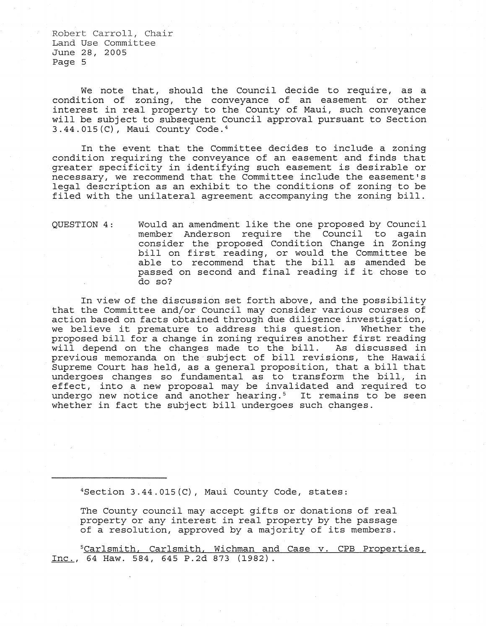We note that, should the Council decide to require, as a condition of zoning, the conveyance of an easement or other interest in real property to the County of Maui, such conveyance will be subject to subsequent Council approval pursuant to Section 3.44.015(C), Maui County Code. 4

In the event that the Committee decides to include a zoning condition requiring the conveyance of an easement and finds that greater specificity in identifying such easement is desirable or necessary, we recommend that the Committee include the easement's legal description as an exhibit to the conditions of zoning to be filed with the unilateral agreement accompanying the zoning bill.

QUESTION 4: Would an amendment like the one proposed by Council member Anderson require the Council to again consider the proposed Condition Change in Zoning bill on first reading, or would the Committee be able to recommend that the bill as amended be passed on second and final reading if it chose to do so?

In view of the discussion set forth above, and the possibility that the Committee and/or Council may consider various courses of action based on facts obtained through due diligence investigation, we believe it premature to address this question. Whether the proposed bill for a change in zoning requires another first reading<br>will depend on the changes made to the bill. As discussed in will depend on the changes made to the bill. previous memoranda on the subject of bill revisions, the Hawaii Supreme Court has held, as a general proposition, that a bill that undergoes changes so fundamental as to transform the bill, in effect, into a new proposal may be invalidated and required to undergo new notice and another hearing.<sup>5</sup> It remains to be seen whether in fact the subject bill undergoes such changes.

 $4$ Section 3.44.015(C), Maui County Code, states:

The County council may accept gifts or donations of real property or any interest in real property by the passage of a resolution, approved by a majority of its members.

**SCarlsmith, Carlsmith, Wichman and Case v. CPB Properties,** Inc., 64 Haw. 584, 645 P.2d 873 (1982).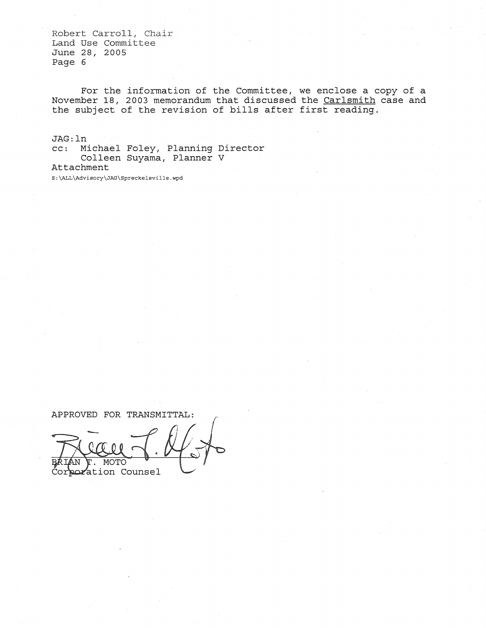For the information of the Committee, we enclose a copy of a November 18, 2003 memorandum that discussed the Carlsmith case and the subject of the revision of bills after first reading.

JAG: In cc: Michael Foley, Planning Director Colleen Suyama, Planner V Attachment

S:\ALL\Advisory\JAG\Sprecke!sville.wpd

APPROVED FOR TRANSMITTAL: MOTO Corporation Counsel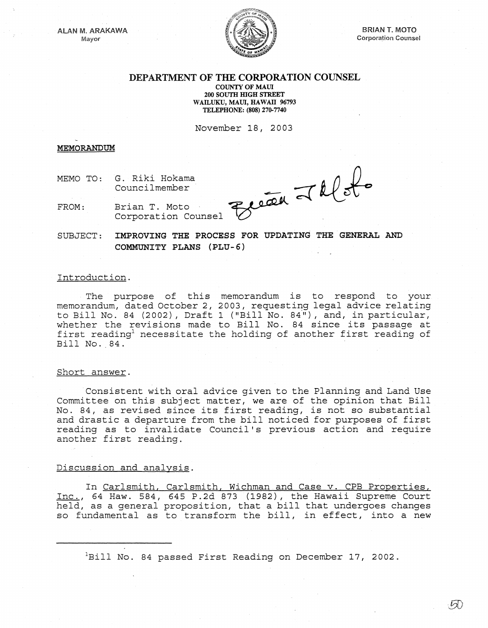ALAN M. ARAKAWA Mayor



 $\sqrt{2}$ 

# DEPARTMENT OF THE CORPORATION COUNSEL

COUNTY OF MAUL 200 SOUTH mGH STREET WAILUKU, MAUI, HAWAII 96793 TELEPHONE: (808) 270-7740

November 18, 2003

#### **MEMORANDUM**

MEMO TO: G. Riki Hokama Councilmember

Brian T. Moto Corporation Counsel Jelete

FROM: Brian T. Moto

SUBJECT: IMPROVING THE PROCESS FOR UPDATING THE GENERAL AND COMMUNITY PLANS (PLU-6)

## Introduction.

The purpose of this memorandum is to respond to your memorandum, dated October 2, 2003, requesting legal advice relating to Bill No. 84 (2002), Draft 1 ("Bill No. 84"), and, in particular, whether the revisions made to Bill No. 84 since its passage at first reading<sup>1</sup> necessitate the holding of another first reading of Bill No. 84.

#### Short answer.

Consistent with oral advice given to the Planning and Land Use Committee on this subject matter, we are of the opinion that Bill No. 84, as revised since its first reading, is not so substantial and drastic a departure from the bill noticed for purposes of first reading as to invalidate Council's previous action and require another first reading.

### Discussion and analysis.

In Carlsmith, Carlsmith, Wichman and Case v. CPB Properties, Inc., 64 Haw. 584, 645 P.2d 873 (1982), the Hawaii Supreme Court inc., 04 haw. 564, 645 F.2d 675 (1962), the hawait supreme court<br>held, as a general proposition, that a bill that undergoes changes so fundamental as to transform the bill, in effect, into a new

 $1B$ ill No. 84 passed First Reading on December 17, 2002.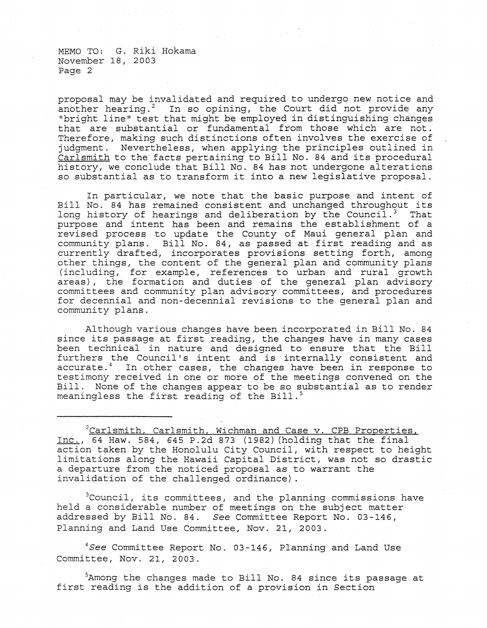MEMO TO: G. Riki Hokama November 18, 2003 Page 2

proposal may be invalidated and required to undergo new notice and another hearing.<sup>2</sup> In so opining, the Court did not provide any "bright line" test that might be employed in distinguishing changes that are substantial or fundamental from those which are not. Therefore, making such distinctions often involves the exercise of judgment. Nevertheless, when applying the principles outlined in Carlsmith to the facts pertaining to Bill No. 84 and its procedural history, we conclude that Bill No. 84 has not undergone alterations so substantial as to transform it into a new legislative proposal.

In particular, we note that the basic purpose and intent of Bill No. 84 has remained consistent and unchanged throughout its<br>long history of hearings and deliberation by the Council.<sup>3</sup> That long history of hearings and deliberation by the Council.<sup>3</sup> purpose and intent has been and remains the establishment of a revised process to update the County of Maui general plan and community plans. Bill No. 84, as passed at first reading and as currently drafted, incorporates provisions setting forth, among other. things, the content of the general plan and community plans (including, for example, references' to urban and rural. growth areas), the formation and duties of the general plan advisory committees and community plan advisory committees, and procedures for decennial and non-decennial revisions to the general plan and community plans.

Al though various changes have been incorporated in Bill No. 84 since its passage at first reading, the changes have in many cases been technical in nature and designed to ensure that the Bill furthers the Council's intent and is internally consistent and accurate. $4$  In other cases, the changes have been in response to testimony received in one or more of the meetings convened on the Bill. None of the changes appear to be so substantial as to render meaningless the first reading of the Bill. $^5$ 

 $2$ Carlsmith, Carlsmith, Wichman and Case v. CPB Properties, Inc., 64 Haw. 584, 645 P.2d 873 (1982) (holding that the final action taken by the Honolulu City Council, with respect to height limitations along the Hawaii Capital District, was not so drastic a departure from the noticed proposal as to warrant the invalidation of the challenged ordinance) .

<sup>3</sup>Council, its committees, and the planning commissions have held a considerable number of meetings on the subject matter addressed by Bill No. 84. *See* Committee Report No. 03-146, Planning and Land Use Committee, Nov. 21, 2003.

*4See* Committee Report No. 03-146, Planning and Land Use Committee, Nov. 21, 2003.

5Among the changes made to Bill No. 84 since its passage at first reading is the addition of a provision in Section